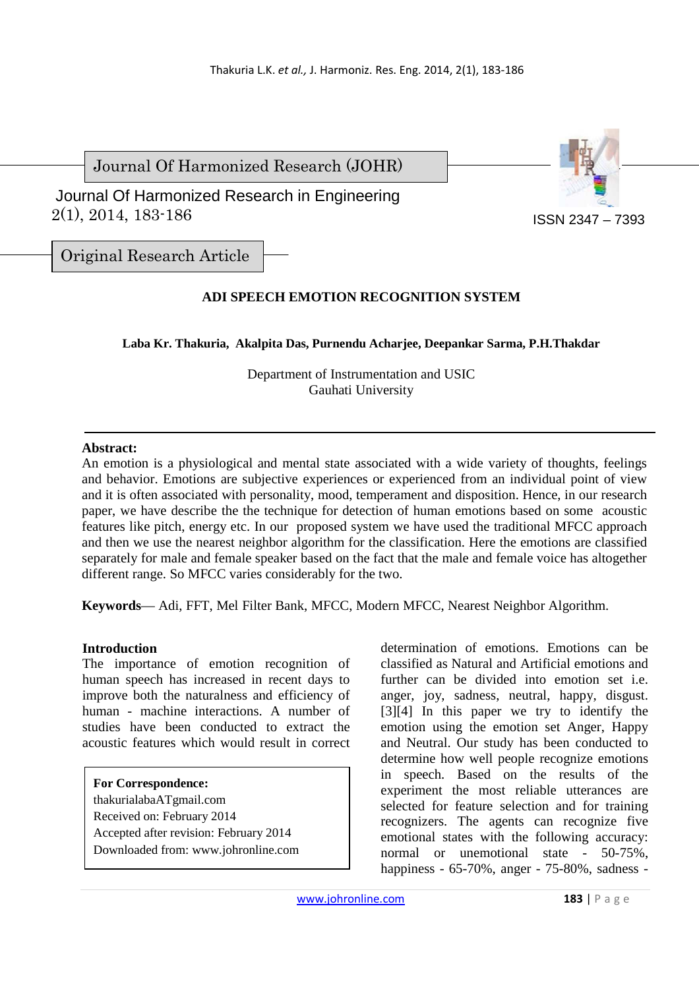Journal Of Harmonized Research (JOHR)



 2(1), 2014, 183-186 Journal Of Harmonized Research in Engineering

Original Research Article

# **ADI SPEECH EMOTION RECOGNITION SYSTEM**

**Laba Kr. Thakuria, Akalpita Das, Purnendu Acharjee, Deepankar Sarma, P.H.Thakdar** 

Department of Instrumentation and USIC Gauhati University

## **Abstract:**

An emotion is a physiological and mental state associated with a wide variety of thoughts, feelings and behavior. Emotions are subjective experiences or experienced from an individual point of view and it is often associated with personality, mood, temperament and disposition. Hence, in our research paper, we have describe the the technique for detection of human emotions based on some acoustic features like pitch, energy etc. In our proposed system we have used the traditional MFCC approach and then we use the nearest neighbor algorithm for the classification. Here the emotions are classified separately for male and female speaker based on the fact that the male and female voice has altogether different range. So MFCC varies considerably for the two.

**Keywords**— Adi, FFT, Mel Filter Bank, MFCC, Modern MFCC, Nearest Neighbor Algorithm.

# **Introduction**

The importance of emotion recognition of human speech has increased in recent days to improve both the naturalness and efficiency of human - machine interactions. A number of studies have been conducted to extract the acoustic features which would result in correct

**For Correspondence:**  thakurialabaATgmail.com Received on: February 2014 Accepted after revision: February 2014 Downloaded from: www.johronline.com determination of emotions. Emotions can be classified as Natural and Artificial emotions and further can be divided into emotion set i.e. anger, joy, sadness, neutral, happy, disgust. [3][4] In this paper we try to identify the emotion using the emotion set Anger, Happy and Neutral. Our study has been conducted to determine how well people recognize emotions in speech. Based on the results of the experiment the most reliable utterances are selected for feature selection and for training recognizers. The agents can recognize five emotional states with the following accuracy: normal or unemotional state - 50-75%, happiness - 65-70%, anger - 75-80%, sadness -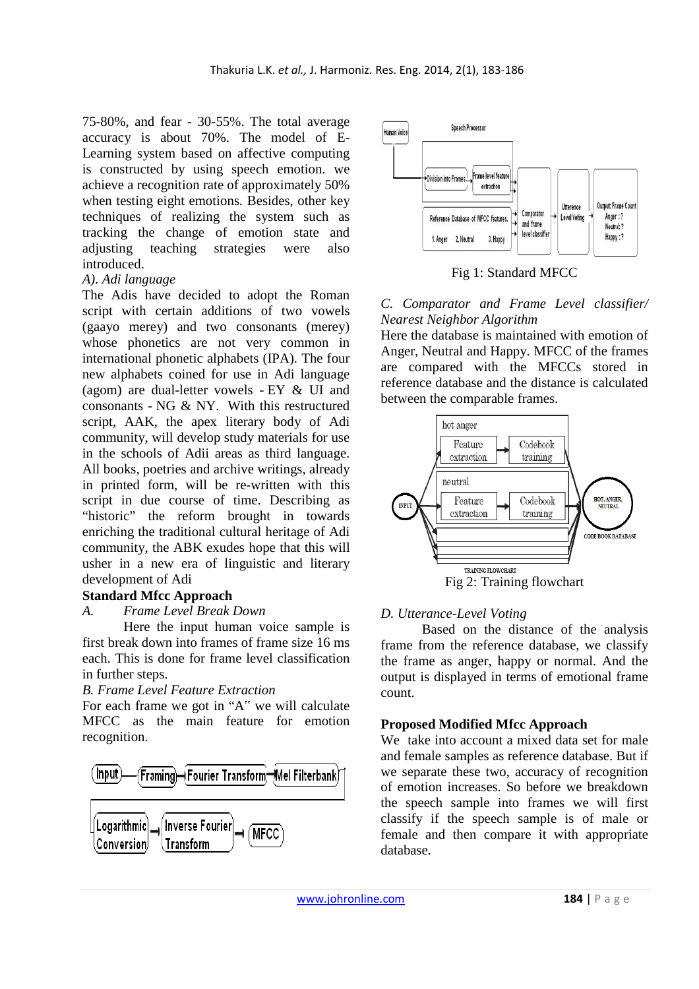75-80%, and fear - 30-55%. The total average accuracy is about 70%. The model of E-Learning system based on affective computing is constructed by using speech emotion. we achieve a recognition rate of approximately 50% when testing eight emotions. Besides, other key techniques of realizing the system such as tracking the change of emotion state and adjusting teaching strategies were also introduced.

## *A). Adi language*

The Adis have decided to adopt the Roman script with certain additions of two vowels (gaayo merey) and two consonants (merey) whose phonetics are not very common in international phonetic alphabets (IPA). The four new alphabets coined for use in Adi language (agom) are dual-letter vowels - EY & UI and consonants - NG & NY. With this restructured script, AAK, the apex literary body of Adi community, will develop study materials for use in the schools of Adii areas as third language. All books, poetries and archive writings, already in printed form, will be re-written with this script in due course of time. Describing as "historic" the reform brought in towards enriching the traditional cultural heritage of Adi community, the ABK exudes hope that this will usher in a new era of linguistic and literary development of Adi

### **Standard Mfcc Approach**

#### *A. Frame Level Break Down*

Here the input human voice sample is first break down into frames of frame size 16 ms each. This is done for frame level classification in further steps.

#### *B. Frame Level Feature Extraction*

For each frame we got in "A" we will calculate MFCC as the main feature for emotion recognition.





Fig 1: Standard MFCC

## *C. Comparator and Frame Level classifier/ Nearest Neighbor Algorithm*

Here the database is maintained with emotion of Anger, Neutral and Happy. MFCC of the frames are compared with the MFCCs stored in reference database and the distance is calculated between the comparable frames.



#### *D. Utterance-Level Voting*

Based on the distance of the analysis frame from the reference database, we classify the frame as anger, happy or normal. And the output is displayed in terms of emotional frame count.

### **Proposed Modified Mfcc Approach**

We take into account a mixed data set for male and female samples as reference database. But if we separate these two, accuracy of recognition of emotion increases. So before we breakdown the speech sample into frames we will first classify if the speech sample is of male or female and then compare it with appropriate database.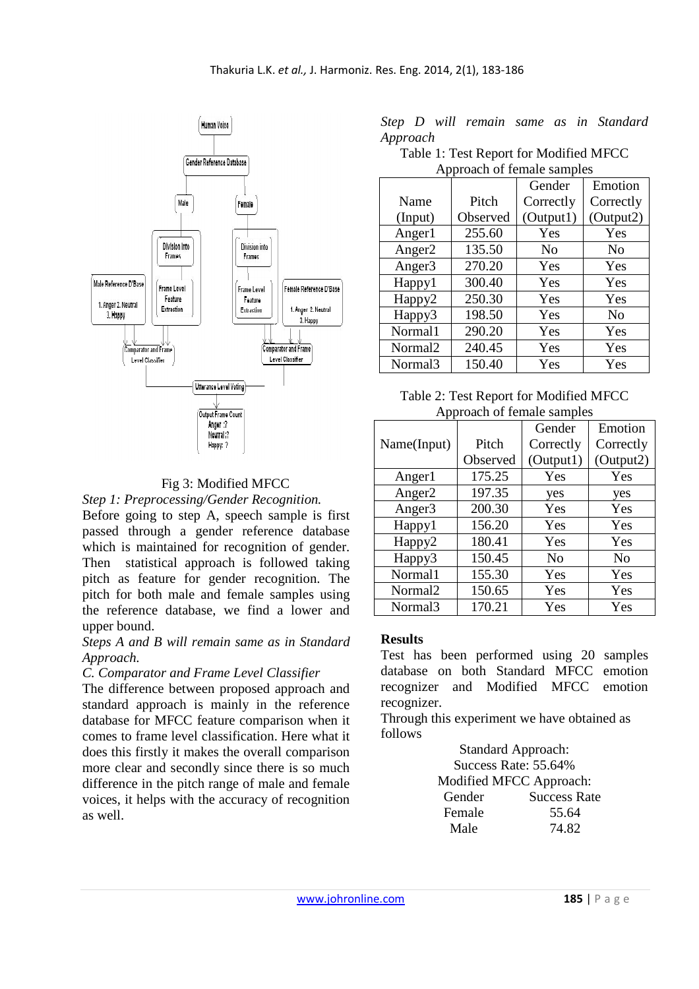

# Fig 3: Modified MFCC

*Step 1: Preprocessing/Gender Recognition.* 

Before going to step A, speech sample is first passed through a gender reference database which is maintained for recognition of gender. Then statistical approach is followed taking pitch as feature for gender recognition. The pitch for both male and female samples using the reference database, we find a lower and upper bound.

## *Steps A and B will remain same as in Standard Approach.*

### *C. Comparator and Frame Level Classifier*

The difference between proposed approach and standard approach is mainly in the reference database for MFCC feature comparison when it comes to frame level classification. Here what it does this firstly it makes the overall comparison more clear and secondly since there is so much difference in the pitch range of male and female voices, it helps with the accuracy of recognition as well.

|          |  |  |  | Step D will remain same as in Standard |
|----------|--|--|--|----------------------------------------|
| Approach |  |  |  |                                        |

Table 1: Test Report for Modified MFCC Approach of female samples

|                     |          | Gender         | Emotion        |
|---------------------|----------|----------------|----------------|
| Name                | Pitch    | Correctly      | Correctly      |
| (Input)             | Observed | (Output1)      | (Output2)      |
| Anger1              | 255.60   | Yes            | Yes            |
| Anger <sub>2</sub>  | 135.50   | N <sub>0</sub> | No             |
| Anger <sub>3</sub>  | 270.20   | Yes            | Yes            |
| Happy1              | 300.40   | Yes            | Yes            |
| Happy <sub>2</sub>  | 250.30   | Yes            | Yes            |
| Happy3              | 198.50   | Yes            | N <sub>0</sub> |
| Normal1             | 290.20   | Yes            | Yes            |
| Normal <sub>2</sub> | 240.45   | Yes            | Yes            |
| Normal3             | 150.40   | Yes            | Yes            |

#### Table 2: Test Report for Modified MFCC Approach of female samples

|                     |          | Gender         | Emotion        |
|---------------------|----------|----------------|----------------|
| Name(Input)         | Pitch    | Correctly      | Correctly      |
|                     | Observed | (Output1)      | (Output2)      |
| Anger1              | 175.25   | Yes            | Yes            |
| Anger <sub>2</sub>  | 197.35   | yes            | yes            |
| Anger <sub>3</sub>  | 200.30   | Yes            | Yes            |
| Happy1              | 156.20   | Yes            | Yes            |
| Happy <sub>2</sub>  | 180.41   | Yes            | Yes            |
| Happy3              | 150.45   | N <sub>0</sub> | N <sub>0</sub> |
| Normal1             | 155.30   | Yes            | Yes            |
| Normal <sub>2</sub> | 150.65   | Yes            | Yes            |
| Normal3             | 170.21   | Yes            | Yes            |

### **Results**

Test has been performed using 20 samples database on both Standard MFCC emotion recognizer and Modified MFCC emotion recognizer.

Through this experiment we have obtained as follows

> Standard Approach: Success Rate: 55.64% Modified MFCC Approach: Gender Success Rate Female 55.64 Male 74.82